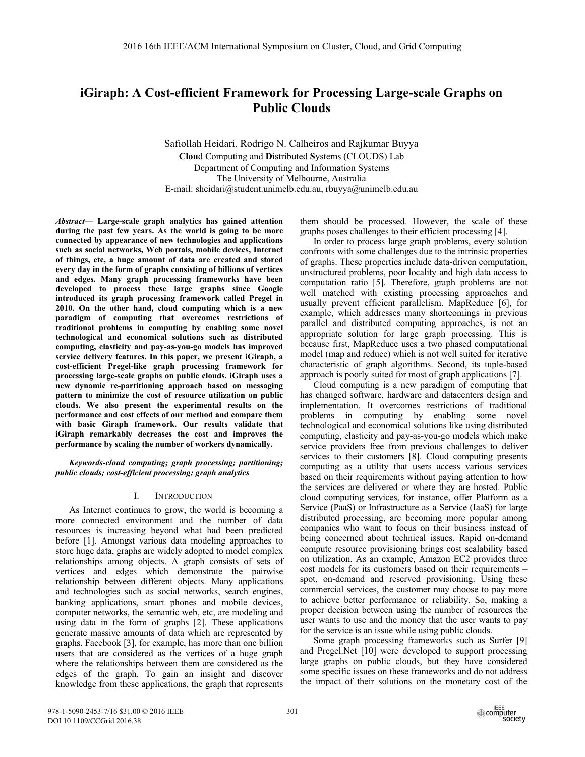# **iGiraph: A Cost-efficient Framework for Processing Large-scale Graphs on Public Clouds**

Safiollah Heidari, Rodrigo N. Calheiros and Rajkumar Buyya **Clou**d Computing and **D**istributed **S**ystems (CLOUDS) Lab Department of Computing and Information Systems The University of Melbourne, Australia E-mail: sheidari@student.unimelb.edu.au, rbuyya@unimelb.edu.au

*Abstract***— Large-scale graph analytics has gained attention during the past few years. As the world is going to be more connected by appearance of new technologies and applications such as social networks, Web portals, mobile devices, Internet of things, etc, a huge amount of data are created and stored every day in the form of graphs consisting of billions of vertices and edges. Many graph processing frameworks have been developed to process these large graphs since Google introduced its graph processing framework called Pregel in 2010. On the other hand, cloud computing which is a new paradigm of computing that overcomes restrictions of traditional problems in computing by enabling some novel technological and economical solutions such as distributed computing, elasticity and pay-as-you-go models has improved service delivery features. In this paper, we present iGiraph, a cost-efficient Pregel-like graph processing framework for processing large-scale graphs on public clouds. iGiraph uses a new dynamic re-partitioning approach based on messaging pattern to minimize the cost of resource utilization on public clouds. We also present the experimental results on the performance and cost effects of our method and compare them with basic Giraph framework. Our results validate that iGiraph remarkably decreases the cost and improves the performance by scaling the number of workers dynamically.** 

*Keywords-cloud computing; graph processing; partitioning; public clouds; cost-efficient processing; graph analytics* 

# I. INTRODUCTION

As Internet continues to grow, the world is becoming a more connected environment and the number of data resources is increasing beyond what had been predicted before [1]. Amongst various data modeling approaches to store huge data, graphs are widely adopted to model complex relationships among objects. A graph consists of sets of vertices and edges which demonstrate the pairwise relationship between different objects. Many applications and technologies such as social networks, search engines, banking applications, smart phones and mobile devices, computer networks, the semantic web, etc, are modeling and using data in the form of graphs [2]. These applications generate massive amounts of data which are represented by graphs. Facebook [3], for example, has more than one billion users that are considered as the vertices of a huge graph where the relationships between them are considered as the edges of the graph. To gain an insight and discover knowledge from these applications, the graph that represents them should be processed. However, the scale of these graphs poses challenges to their efficient processing [4].

In order to process large graph problems, every solution confronts with some challenges due to the intrinsic properties of graphs. These properties include data-driven computation, unstructured problems, poor locality and high data access to computation ratio [5]. Therefore, graph problems are not well matched with existing processing approaches and usually prevent efficient parallelism. MapReduce [6], for example, which addresses many shortcomings in previous parallel and distributed computing approaches, is not an appropriate solution for large graph processing. This is because first, MapReduce uses a two phased computational model (map and reduce) which is not well suited for iterative characteristic of graph algorithms. Second, its tuple-based approach is poorly suited for most of graph applications [7].

Cloud computing is a new paradigm of computing that has changed software, hardware and datacenters design and implementation. It overcomes restrictions of traditional problems in computing by enabling some novel technological and economical solutions like using distributed computing, elasticity and pay-as-you-go models which make service providers free from previous challenges to deliver services to their customers [8]. Cloud computing presents computing as a utility that users access various services based on their requirements without paying attention to how the services are delivered or where they are hosted. Public cloud computing services, for instance, offer Platform as a Service (PaaS) or Infrastructure as a Service (IaaS) for large distributed processing, are becoming more popular among companies who want to focus on their business instead of being concerned about technical issues. Rapid on-demand compute resource provisioning brings cost scalability based on utilization. As an example, Amazon EC2 provides three cost models for its customers based on their requirements – spot, on-demand and reserved provisioning. Using these commercial services, the customer may choose to pay more to achieve better performance or reliability. So, making a proper decision between using the number of resources the user wants to use and the money that the user wants to pay for the service is an issue while using public clouds.

Some graph processing frameworks such as Surfer [9] and Pregel.Net [10] were developed to support processing large graphs on public clouds, but they have considered some specific issues on these frameworks and do not address the impact of their solutions on the monetary cost of the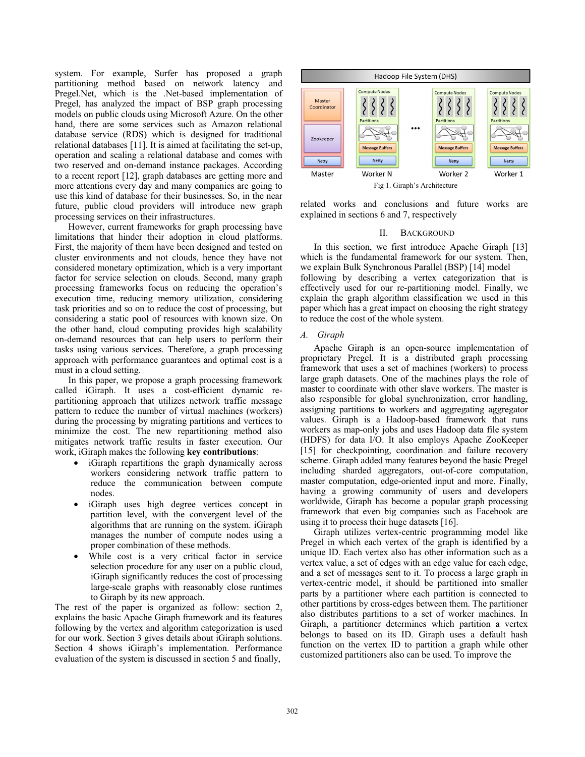system. For example, Surfer has proposed a graph partitioning method based on network latency and Pregel.Net, which is the .Net-based implementation of Pregel, has analyzed the impact of BSP graph processing models on public clouds using Microsoft Azure. On the other hand, there are some services such as Amazon relational database service (RDS) which is designed for traditional relational databases [11]. It is aimed at facilitating the set-up, operation and scaling a relational database and comes with two reserved and on-demand instance packages. According to a recent report [12], graph databases are getting more and more attentions every day and many companies are going to use this kind of database for their businesses. So, in the near future, public cloud providers will introduce new graph processing services on their infrastructures.

However, current frameworks for graph processing have limitations that hinder their adoption in cloud platforms. First, the majority of them have been designed and tested on cluster environments and not clouds, hence they have not considered monetary optimization, which is a very important factor for service selection on clouds. Second, many graph processing frameworks focus on reducing the operation's execution time, reducing memory utilization, considering task priorities and so on to reduce the cost of processing, but considering a static pool of resources with known size. On the other hand, cloud computing provides high scalability on-demand resources that can help users to perform their tasks using various services. Therefore, a graph processing approach with performance guarantees and optimal cost is a must in a cloud setting.

In this paper, we propose a graph processing framework called iGiraph. It uses a cost-efficient dynamic repartitioning approach that utilizes network traffic message pattern to reduce the number of virtual machines (workers) during the processing by migrating partitions and vertices to minimize the cost. The new repartitioning method also mitigates network traffic results in faster execution. Our work, iGiraph makes the following **key contributions**:

- iGiraph repartitions the graph dynamically across workers considering network traffic pattern to reduce the communication between compute nodes.
- iGiraph uses high degree vertices concept in partition level, with the convergent level of the algorithms that are running on the system. iGiraph manages the number of compute nodes using a proper combination of these methods.
- While cost is a very critical factor in service selection procedure for any user on a public cloud, iGiraph significantly reduces the cost of processing large-scale graphs with reasonably close runtimes to Giraph by its new approach.

The rest of the paper is organized as follow: section 2, explains the basic Apache Giraph framework and its features following by the vertex and algorithm categorization is used for our work. Section 3 gives details about iGiraph solutions. Section 4 shows iGiraph's implementation. Performance evaluation of the system is discussed in section 5 and finally,



related works and conclusions and future works are explained in sections 6 and 7, respectively

### II. BACKGROUND

In this section, we first introduce Apache Giraph [13] which is the fundamental framework for our system. Then, we explain Bulk Synchronous Parallel (BSP) [14] model following by describing a vertex categorization that is effectively used for our re-partitioning model. Finally, we explain the graph algorithm classification we used in this paper which has a great impact on choosing the right strategy to reduce the cost of the whole system.

### *A. Giraph*

Apache Giraph is an open-source implementation of proprietary Pregel. It is a distributed graph processing framework that uses a set of machines (workers) to process large graph datasets. One of the machines plays the role of master to coordinate with other slave workers. The master is also responsible for global synchronization, error handling, assigning partitions to workers and aggregating aggregator values. Giraph is a Hadoop-based framework that runs workers as map-only jobs and uses Hadoop data file system (HDFS) for data I/O. It also employs Apache ZooKeeper [15] for checkpointing, coordination and failure recovery scheme. Giraph added many features beyond the basic Pregel including sharded aggregators, out-of-core computation, master computation, edge-oriented input and more. Finally, having a growing community of users and developers worldwide, Giraph has become a popular graph processing framework that even big companies such as Facebook are using it to process their huge datasets [16].

Giraph utilizes vertex-centric programming model like Pregel in which each vertex of the graph is identified by a unique ID. Each vertex also has other information such as a vertex value, a set of edges with an edge value for each edge, and a set of messages sent to it. To process a large graph in vertex-centric model, it should be partitioned into smaller parts by a partitioner where each partition is connected to other partitions by cross-edges between them. The partitioner also distributes partitions to a set of worker machines. In Giraph, a partitioner determines which partition a vertex belongs to based on its ID. Giraph uses a default hash function on the vertex ID to partition a graph while other customized partitioners also can be used. To improve the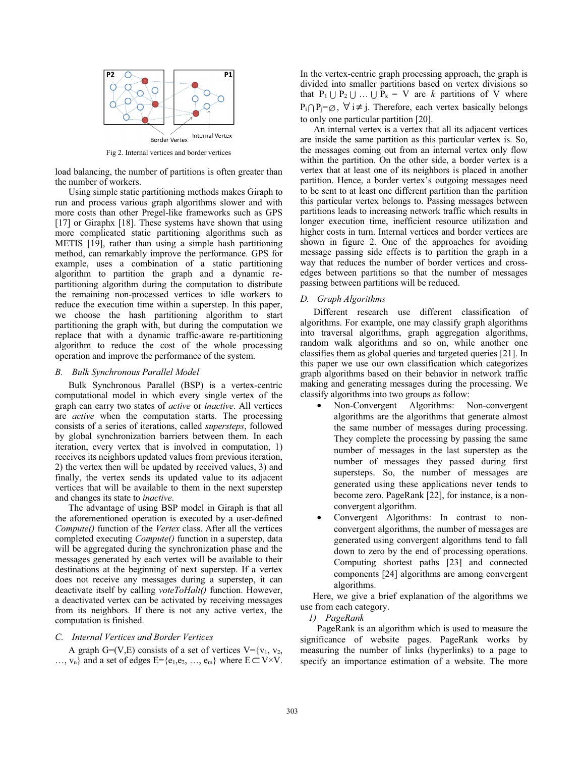

Fig 2. Internal vertices and border vertices

load balancing, the number of partitions is often greater than the number of workers.

Using simple static partitioning methods makes Giraph to run and process various graph algorithms slower and with more costs than other Pregel-like frameworks such as GPS [17] or Giraphx [18]. These systems have shown that using more complicated static partitioning algorithms such as METIS [19], rather than using a simple hash partitioning method, can remarkably improve the performance. GPS for example, uses a combination of a static partitioning algorithm to partition the graph and a dynamic repartitioning algorithm during the computation to distribute the remaining non-processed vertices to idle workers to reduce the execution time within a superstep. In this paper, we choose the hash partitioning algorithm to start partitioning the graph with, but during the computation we replace that with a dynamic traffic-aware re-partitioning algorithm to reduce the cost of the whole processing operation and improve the performance of the system.

# *B. Bulk Synchronous Parallel Model*

Bulk Synchronous Parallel (BSP) is a vertex-centric computational model in which every single vertex of the graph can carry two states of *active* or *inactive*. All vertices are *active* when the computation starts. The processing consists of a series of iterations, called *supersteps*, followed by global synchronization barriers between them. In each iteration, every vertex that is involved in computation, 1) receives its neighbors updated values from previous iteration, 2) the vertex then will be updated by received values, 3) and finally, the vertex sends its updated value to its adjacent vertices that will be available to them in the next superstep and changes its state to *inactive*.

The advantage of using BSP model in Giraph is that all the aforementioned operation is executed by a user-defined *Compute()* function of the *Vertex* class. After all the vertices completed executing *Compute()* function in a superstep, data will be aggregated during the synchronization phase and the messages generated by each vertex will be available to their destinations at the beginning of next superstep. If a vertex does not receive any messages during a superstep, it can deactivate itself by calling *voteToHalt()* function. However, a deactivated vertex can be activated by receiving messages from its neighbors. If there is not any active vertex, the computation is finished.

### *C. Internal Vertices and Border Vertices*

A graph G=(V,E) consists of a set of vertices  $V = \{v_1, v_2,$ …,  $v_n$ } and a set of edges  $E = \{e_1, e_2, ..., e_m\}$  where  $E \subset V \times V$ . In the vertex-centric graph processing approach, the graph is divided into smaller partitions based on vertex divisions so that  $P_1 \cup P_2 \cup ... \cup P_k = V$  are *k* partitions of V where  $P_i \cap P_j = \emptyset$ ,  $\forall i \neq j$ . Therefore, each vertex basically belongs to only one particular partition [20].

An internal vertex is a vertex that all its adjacent vertices are inside the same partition as this particular vertex is. So, the messages coming out from an internal vertex only flow within the partition. On the other side, a border vertex is a vertex that at least one of its neighbors is placed in another partition. Hence, a border vertex's outgoing messages need to be sent to at least one different partition than the partition this particular vertex belongs to. Passing messages between partitions leads to increasing network traffic which results in longer execution time, inefficient resource utilization and higher costs in turn. Internal vertices and border vertices are shown in figure 2. One of the approaches for avoiding message passing side effects is to partition the graph in a way that reduces the number of border vertices and crossedges between partitions so that the number of messages passing between partitions will be reduced.

### *D. Graph Algorithms*

Different research use different classification of algorithms. For example, one may classify graph algorithms into traversal algorithms, graph aggregation algorithms, random walk algorithms and so on, while another one classifies them as global queries and targeted queries [21]. In this paper we use our own classification which categorizes graph algorithms based on their behavior in network traffic making and generating messages during the processing. We classify algorithms into two groups as follow:

- Non-Convergent Algorithms: Non-convergent algorithms are the algorithms that generate almost the same number of messages during processing. They complete the processing by passing the same number of messages in the last superstep as the number of messages they passed during first supersteps. So, the number of messages are generated using these applications never tends to become zero. PageRank [22], for instance, is a nonconvergent algorithm.
- Convergent Algorithms: In contrast to nonconvergent algorithms, the number of messages are generated using convergent algorithms tend to fall down to zero by the end of processing operations. Computing shortest paths [23] and connected components [24] algorithms are among convergent algorithms.

Here, we give a brief explanation of the algorithms we use from each category.

### *1) PageRank*

PageRank is an algorithm which is used to measure the significance of website pages. PageRank works by measuring the number of links (hyperlinks) to a page to specify an importance estimation of a website. The more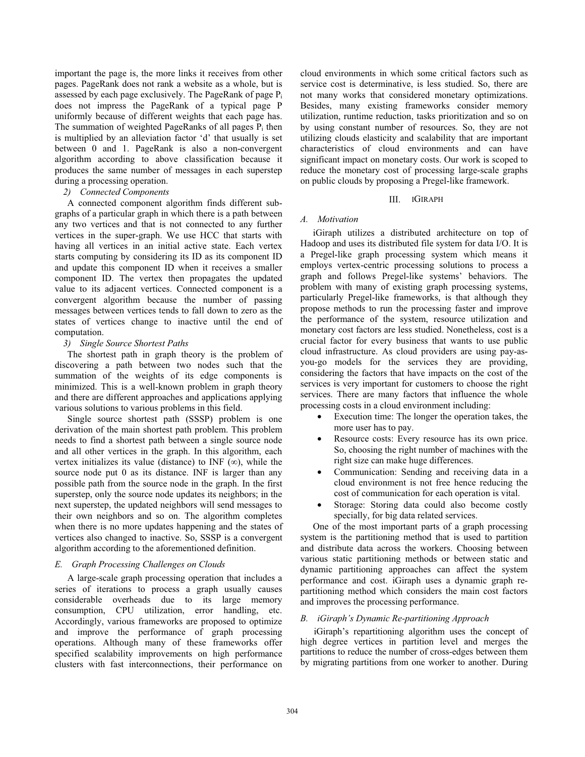important the page is, the more links it receives from other pages. PageRank does not rank a website as a whole, but is assessed by each page exclusively. The PageRank of page  $P_i$ does not impress the PageRank of a typical page P uniformly because of different weights that each page has. The summation of weighted PageRanks of all pages  $P_i$  then is multiplied by an alleviation factor 'd' that usually is set between 0 and 1. PageRank is also a non-convergent algorithm according to above classification because it produces the same number of messages in each superstep during a processing operation.

# *2) Connected Components*

A connected component algorithm finds different subgraphs of a particular graph in which there is a path between any two vertices and that is not connected to any further vertices in the super-graph. We use HCC that starts with having all vertices in an initial active state. Each vertex starts computing by considering its ID as its component ID and update this component ID when it receives a smaller component ID. The vertex then propagates the updated value to its adjacent vertices. Connected component is a convergent algorithm because the number of passing messages between vertices tends to fall down to zero as the states of vertices change to inactive until the end of computation.

# *3) Single Source Shortest Paths*

The shortest path in graph theory is the problem of discovering a path between two nodes such that the summation of the weights of its edge components is minimized. This is a well-known problem in graph theory and there are different approaches and applications applying various solutions to various problems in this field.

Single source shortest path (SSSP) problem is one derivation of the main shortest path problem. This problem needs to find a shortest path between a single source node and all other vertices in the graph. In this algorithm, each vertex initializes its value (distance) to INF  $(\infty)$ , while the source node put 0 as its distance. INF is larger than any possible path from the source node in the graph. In the first superstep, only the source node updates its neighbors; in the next superstep, the updated neighbors will send messages to their own neighbors and so on. The algorithm completes when there is no more updates happening and the states of vertices also changed to inactive. So, SSSP is a convergent algorithm according to the aforementioned definition.

# *E. Graph Processing Challenges on Clouds*

A large-scale graph processing operation that includes a series of iterations to process a graph usually causes considerable overheads due to its large memory consumption, CPU utilization, error handling, etc. Accordingly, various frameworks are proposed to optimize and improve the performance of graph processing operations. Although many of these frameworks offer specified scalability improvements on high performance clusters with fast interconnections, their performance on

cloud environments in which some critical factors such as service cost is determinative, is less studied. So, there are not many works that considered monetary optimizations. Besides, many existing frameworks consider memory utilization, runtime reduction, tasks prioritization and so on by using constant number of resources. So, they are not utilizing clouds elasticity and scalability that are important characteristics of cloud environments and can have significant impact on monetary costs. Our work is scoped to reduce the monetary cost of processing large-scale graphs on public clouds by proposing a Pregel-like framework.

# III. IGIRAPH

# *A. Motivation*

iGiraph utilizes a distributed architecture on top of Hadoop and uses its distributed file system for data I/O. It is a Pregel-like graph processing system which means it employs vertex-centric processing solutions to process a graph and follows Pregel-like systems' behaviors. The problem with many of existing graph processing systems, particularly Pregel-like frameworks, is that although they propose methods to run the processing faster and improve the performance of the system, resource utilization and monetary cost factors are less studied. Nonetheless, cost is a crucial factor for every business that wants to use public cloud infrastructure. As cloud providers are using pay-asyou-go models for the services they are providing, considering the factors that have impacts on the cost of the services is very important for customers to choose the right services. There are many factors that influence the whole processing costs in a cloud environment including:

- Execution time: The longer the operation takes, the more user has to pay.
- Resource costs: Every resource has its own price. So, choosing the right number of machines with the right size can make huge differences.
- Communication: Sending and receiving data in a cloud environment is not free hence reducing the cost of communication for each operation is vital.
- Storage: Storing data could also become costly specially, for big data related services.

One of the most important parts of a graph processing system is the partitioning method that is used to partition and distribute data across the workers. Choosing between various static partitioning methods or between static and dynamic partitioning approaches can affect the system performance and cost. iGiraph uses a dynamic graph repartitioning method which considers the main cost factors and improves the processing performance.

# *B. iGiraph's Dynamic Re-partitioning Approach*

iGiraph's repartitioning algorithm uses the concept of high degree vertices in partition level and merges the partitions to reduce the number of cross-edges between them by migrating partitions from one worker to another. During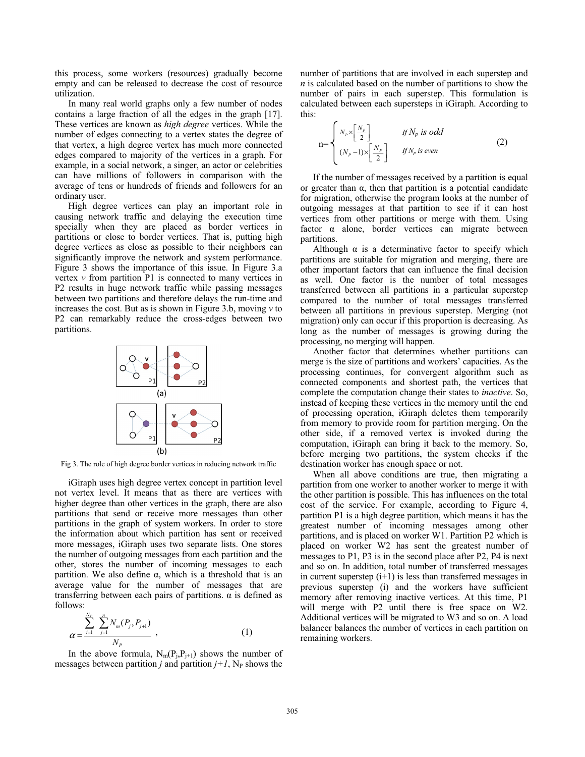this process, some workers (resources) gradually become empty and can be released to decrease the cost of resource utilization.

In many real world graphs only a few number of nodes contains a large fraction of all the edges in the graph [17]. These vertices are known as *high degree* vertices. While the number of edges connecting to a vertex states the degree of that vertex, a high degree vertex has much more connected edges compared to majority of the vertices in a graph. For example, in a social network, a singer, an actor or celebrities can have millions of followers in comparison with the average of tens or hundreds of friends and followers for an ordinary user.

High degree vertices can play an important role in causing network traffic and delaying the execution time specially when they are placed as border vertices in partitions or close to border vertices. That is, putting high degree vertices as close as possible to their neighbors can significantly improve the network and system performance. Figure 3 shows the importance of this issue. In Figure 3.a vertex  $\nu$  from partition P1 is connected to many vertices in P2 results in huge network traffic while passing messages between two partitions and therefore delays the run-time and increases the cost. But as is shown in Figure 3.b, moving *v* to P2 can remarkably reduce the cross-edges between two partitions.



Fig 3. The role of high degree border vertices in reducing network traffic

iGiraph uses high degree vertex concept in partition level not vertex level. It means that as there are vertices with higher degree than other vertices in the graph, there are also partitions that send or receive more messages than other partitions in the graph of system workers. In order to store the information about which partition has sent or received more messages, iGiraph uses two separate lists. One stores the number of outgoing messages from each partition and the other, stores the number of incoming messages to each partition. We also define  $\alpha$ , which is a threshold that is an average value for the number of messages that are transferring between each pairs of partitions.  $\alpha$  is defined as follows:

$$
\alpha = \frac{\sum_{i=1}^{N_p} \sum_{j=1}^{n} N_m(P_j, P_{j+1})}{N_p} \tag{1}
$$

In the above formula,  $N_m(P_j,P_{j+1})$  shows the number of messages between partition *j* and partition  $j+1$ , N<sub>P</sub> shows the

number of partitions that are involved in each superstep and *n* is calculated based on the number of partitions to show the number of pairs in each superstep. This formulation is calculated between each supersteps in iGiraph. According to this:

$$
n = \begin{cases} N_p \times \left[\frac{N_p}{2}\right] & \text{if } N_p \text{ is odd} \\ (N_p - 1) \times \left[\frac{N_p}{2}\right] & \text{if } N_p \text{ is even} \end{cases}
$$
 (2)

If the number of messages received by a partition is equal or greater than  $\alpha$ , then that partition is a potential candidate for migration, otherwise the program looks at the number of outgoing messages at that partition to see if it can host vertices from other partitions or merge with them. Using factor  $\alpha$  alone, border vertices can migrate between partitions.

Although  $\alpha$  is a determinative factor to specify which partitions are suitable for migration and merging, there are other important factors that can influence the final decision as well. One factor is the number of total messages transferred between all partitions in a particular superstep compared to the number of total messages transferred between all partitions in previous superstep. Merging (not migration) only can occur if this proportion is decreasing. As long as the number of messages is growing during the processing, no merging will happen.

Another factor that determines whether partitions can merge is the size of partitions and workers' capacities. As the processing continues, for convergent algorithm such as connected components and shortest path, the vertices that complete the computation change their states to *inactive*. So, instead of keeping these vertices in the memory until the end of processing operation, iGiraph deletes them temporarily from memory to provide room for partition merging. On the other side, if a removed vertex is invoked during the computation, iGiraph can bring it back to the memory. So, before merging two partitions, the system checks if the destination worker has enough space or not.

When all above conditions are true, then migrating a partition from one worker to another worker to merge it with the other partition is possible. This has influences on the total cost of the service. For example, according to Figure 4, partition P1 is a high degree partition, which means it has the greatest number of incoming messages among other partitions, and is placed on worker W1. Partition P2 which is placed on worker W2 has sent the greatest number of messages to P1, P3 is in the second place after P2, P4 is next and so on. In addition, total number of transferred messages in current superstep  $(i+1)$  is less than transferred messages in previous superstep (i) and the workers have sufficient memory after removing inactive vertices. At this time, P1 will merge with P2 until there is free space on W2. Additional vertices will be migrated to W3 and so on. A load balancer balances the number of vertices in each partition on remaining workers.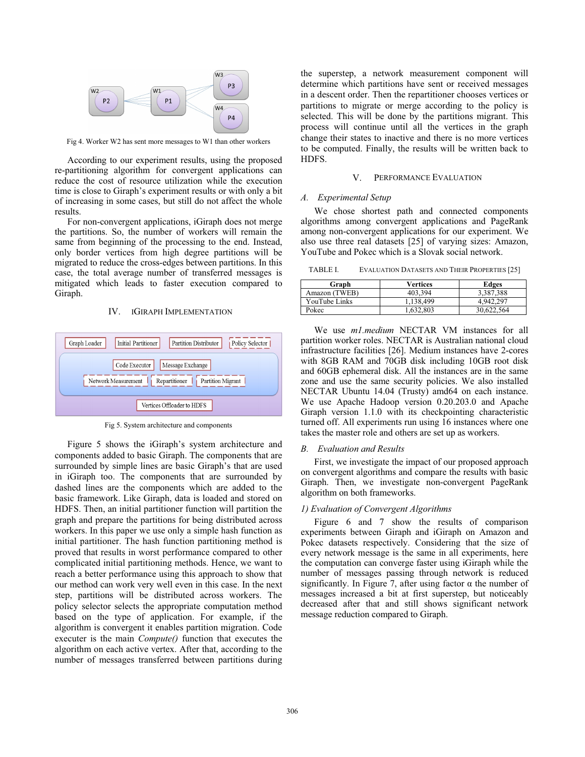

Fig 4. Worker W2 has sent more messages to W1 than other workers

According to our experiment results, using the proposed re-partitioning algorithm for convergent applications can reduce the cost of resource utilization while the execution time is close to Giraph's experiment results or with only a bit of increasing in some cases, but still do not affect the whole results.

For non-convergent applications, iGiraph does not merge the partitions. So, the number of workers will remain the same from beginning of the processing to the end. Instead, only border vertices from high degree partitions will be migrated to reduce the cross-edges between partitions. In this case, the total average number of transferred messages is mitigated which leads to faster execution compared to Giraph.

### IV. IGIRAPH IMPLEMENTATION



Fig 5. System architecture and components

Figure 5 shows the iGiraph's system architecture and components added to basic Giraph. The components that are surrounded by simple lines are basic Giraph's that are used in iGiraph too. The components that are surrounded by dashed lines are the components which are added to the basic framework. Like Giraph, data is loaded and stored on HDFS. Then, an initial partitioner function will partition the graph and prepare the partitions for being distributed across workers. In this paper we use only a simple hash function as initial partitioner. The hash function partitioning method is proved that results in worst performance compared to other complicated initial partitioning methods. Hence, we want to reach a better performance using this approach to show that our method can work very well even in this case. In the next step, partitions will be distributed across workers. The policy selector selects the appropriate computation method based on the type of application. For example, if the algorithm is convergent it enables partition migration. Code executer is the main *Compute()* function that executes the algorithm on each active vertex. After that, according to the number of messages transferred between partitions during

the superstep, a network measurement component will determine which partitions have sent or received messages in a descent order. Then the repartitioner chooses vertices or partitions to migrate or merge according to the policy is selected. This will be done by the partitions migrant. This process will continue until all the vertices in the graph change their states to inactive and there is no more vertices to be computed. Finally, the results will be written back to HDFS.

### V. PERFORMANCE EVALUATION

### *A. Experimental Setup*

We chose shortest path and connected components algorithms among convergent applications and PageRank among non-convergent applications for our experiment. We also use three real datasets [25] of varying sizes: Amazon, YouTube and Pokec which is a Slovak social network.

TABLE I. EVALUATION DATASETS AND THEIR PROPERTIES [25]

| Graph         | Vertices  | Edges      |
|---------------|-----------|------------|
| Amazon (TWEB) | 403.394   | 3.387.388  |
| YouTube Links | 1.138.499 | 4.942.297  |
| Pokec         | 1.632.803 | 30.622.564 |

We use *m1.medium* NECTAR VM instances for all partition worker roles. NECTAR is Australian national cloud infrastructure facilities [26]. Medium instances have 2-cores with 8GB RAM and 70GB disk including 10GB root disk and 60GB ephemeral disk. All the instances are in the same zone and use the same security policies. We also installed NECTAR Ubuntu 14.04 (Trusty) amd64 on each instance. We use Apache Hadoop version 0.20.203.0 and Apache Giraph version 1.1.0 with its checkpointing characteristic turned off. All experiments run using 16 instances where one takes the master role and others are set up as workers.

#### *B. Evaluation and Results*

First, we investigate the impact of our proposed approach on convergent algorithms and compare the results with basic Giraph. Then, we investigate non-convergent PageRank algorithm on both frameworks.

#### *1) Evaluation of Convergent Algorithms*

Figure 6 and 7 show the results of comparison experiments between Giraph and iGiraph on Amazon and Pokec datasets respectively. Considering that the size of every network message is the same in all experiments, here the computation can converge faster using iGiraph while the number of messages passing through network is reduced significantly. In Figure 7, after using factor  $\alpha$  the number of messages increased a bit at first superstep, but noticeably decreased after that and still shows significant network message reduction compared to Giraph.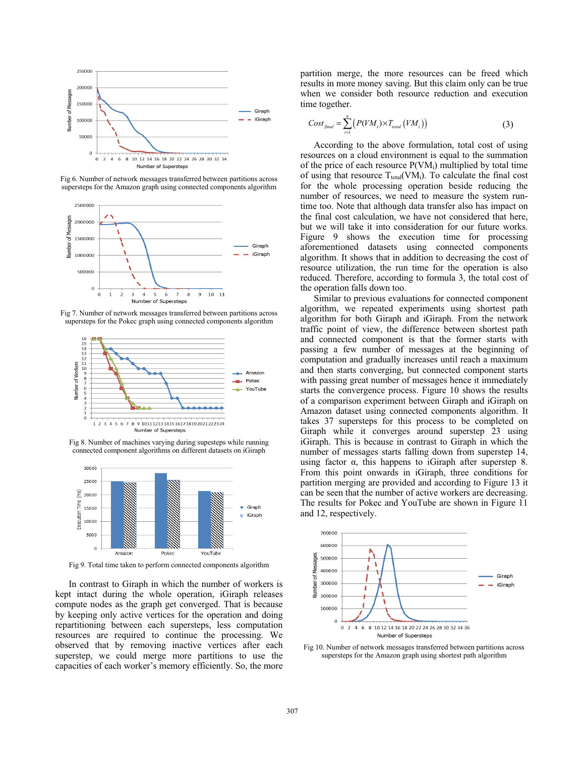

Fig 6. Number of network messages transferred between partitions across supersteps for the Amazon graph using connected components algorithm



Fig 7. Number of network messages transferred between partitions across supersteps for the Pokec graph using connected components algorithm



Fig 8. Number of machines varying during supesteps while running connected component algorithms on different datasets on iGiraph



Fig 9. Total time taken to perform connected components algorithm

In contrast to Giraph in which the number of workers is kept intact during the whole operation, iGiraph releases compute nodes as the graph get converged. That is because by keeping only active vertices for the operation and doing repartitioning between each supersteps, less computation resources are required to continue the processing. We observed that by removing inactive vertices after each superstep, we could merge more partitions to use the capacities of each worker's memory efficiently. So, the more

partition merge, the more resources can be freed which results in more money saving. But this claim only can be true when we consider both resource reduction and execution time together.

$$
Cost_{\text{final}} = \sum_{i=1}^{n} \left( P(VM_i) \times T_{\text{total}} \left( VM_i \right) \right) \tag{3}
$$

According to the above formulation, total cost of using resources on a cloud environment is equal to the summation of the price of each resource P(VMi) multiplied by total time of using that resource  $T_{total}(VM_i)$ . To calculate the final cost for the whole processing operation beside reducing the number of resources, we need to measure the system runtime too. Note that although data transfer also has impact on the final cost calculation, we have not considered that here, but we will take it into consideration for our future works. Figure 9 shows the execution time for processing aforementioned datasets using connected components algorithm. It shows that in addition to decreasing the cost of resource utilization, the run time for the operation is also reduced. Therefore, according to formula 3, the total cost of the operation falls down too.

Similar to previous evaluations for connected component algorithm, we repeated experiments using shortest path algorithm for both Giraph and iGiraph. From the network traffic point of view, the difference between shortest path and connected component is that the former starts with passing a few number of messages at the beginning of computation and gradually increases until reach a maximum and then starts converging, but connected component starts with passing great number of messages hence it immediately starts the convergence process. Figure 10 shows the results of a comparison experiment between Giraph and iGiraph on Amazon dataset using connected components algorithm. It takes 37 supersteps for this process to be completed on Giraph while it converges around superstep 23 using iGiraph. This is because in contrast to Giraph in which the number of messages starts falling down from superstep 14, using factor  $\alpha$ , this happens to iGiraph after superstep 8. From this point onwards in iGiraph, three conditions for partition merging are provided and according to Figure 13 it can be seen that the number of active workers are decreasing. The results for Pokec and YouTube are shown in Figure 11 and 12, respectively.



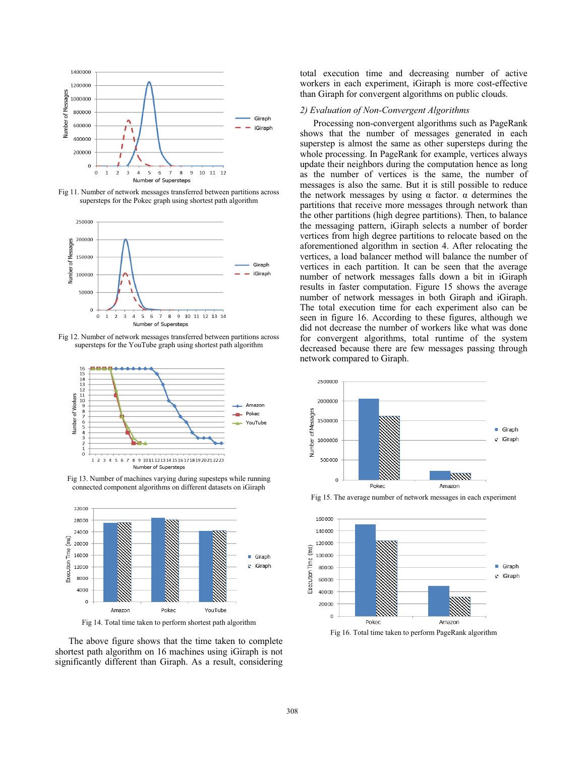

Fig 11. Number of network messages transferred between partitions across supersteps for the Pokec graph using shortest path algorithm



Fig 12. Number of network messages transferred between partitions across supersteps for the YouTube graph using shortest path algorithm



Fig 13. Number of machines varying during supesteps while running connected component algorithms on different datasets on iGiraph



Fig 14. Total time taken to perform shortest path algorithm

The above figure shows that the time taken to complete shortest path algorithm on 16 machines using iGiraph is not significantly different than Giraph. As a result, considering total execution time and decreasing number of active workers in each experiment, iGiraph is more cost-effective than Giraph for convergent algorithms on public clouds.

### *2) Evaluation of Non-Convergent Algorithms*

Processing non-convergent algorithms such as PageRank shows that the number of messages generated in each superstep is almost the same as other supersteps during the whole processing. In PageRank for example, vertices always update their neighbors during the computation hence as long as the number of vertices is the same, the number of messages is also the same. But it is still possible to reduce the network messages by using  $\alpha$  factor.  $\alpha$  determines the partitions that receive more messages through network than the other partitions (high degree partitions). Then, to balance the messaging pattern, iGiraph selects a number of border vertices from high degree partitions to relocate based on the aforementioned algorithm in section 4. After relocating the vertices, a load balancer method will balance the number of vertices in each partition. It can be seen that the average number of network messages falls down a bit in iGiraph results in faster computation. Figure 15 shows the average number of network messages in both Giraph and iGiraph. The total execution time for each experiment also can be seen in figure 16. According to these figures, although we did not decrease the number of workers like what was done for convergent algorithms, total runtime of the system decreased because there are few messages passing through network compared to Giraph.



Fig 15. The average number of network messages in each experiment



Fig 16. Total time taken to perform PageRank algorithm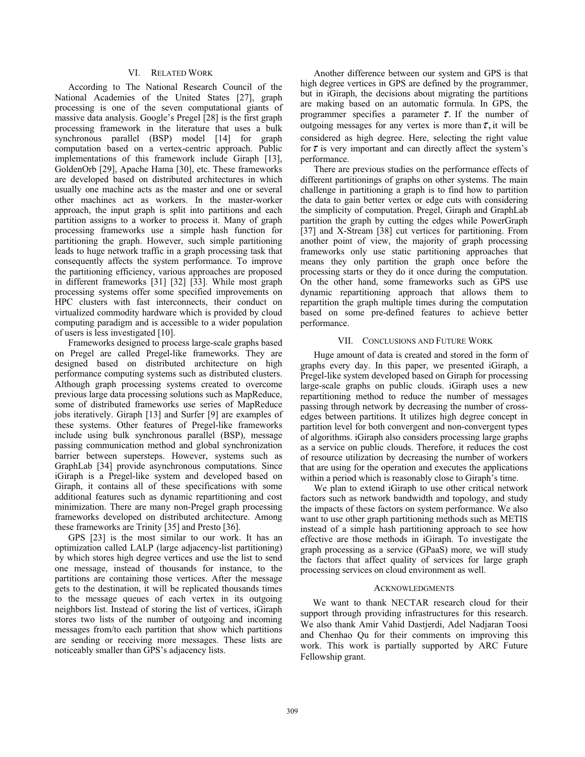# VI. RELATED WORK

According to The National Research Council of the National Academies of the United States [27], graph processing is one of the seven computational giants of massive data analysis. Google's Pregel [28] is the first graph processing framework in the literature that uses a bulk synchronous parallel (BSP) model [14] for graph computation based on a vertex-centric approach. Public implementations of this framework include Giraph [13], GoldenOrb [29], Apache Hama [30], etc. These frameworks are developed based on distributed architectures in which usually one machine acts as the master and one or several other machines act as workers. In the master-worker approach, the input graph is split into partitions and each partition assigns to a worker to process it. Many of graph processing frameworks use a simple hash function for partitioning the graph. However, such simple partitioning leads to huge network traffic in a graph processing task that consequently affects the system performance. To improve the partitioning efficiency, various approaches are proposed in different frameworks [31] [32] [33]. While most graph processing systems offer some specified improvements on HPC clusters with fast interconnects, their conduct on virtualized commodity hardware which is provided by cloud computing paradigm and is accessible to a wider population of users is less investigated [10].

Frameworks designed to process large-scale graphs based on Pregel are called Pregel-like frameworks. They are designed based on distributed architecture on high performance computing systems such as distributed clusters. Although graph processing systems created to overcome previous large data processing solutions such as MapReduce, some of distributed frameworks use series of MapReduce jobs iteratively. Giraph [13] and Surfer [9] are examples of these systems. Other features of Pregel-like frameworks include using bulk synchronous parallel (BSP), message passing communication method and global synchronization barrier between supersteps. However, systems such as GraphLab [34] provide asynchronous computations. Since iGiraph is a Pregel-like system and developed based on Giraph, it contains all of these specifications with some additional features such as dynamic repartitioning and cost minimization. There are many non-Pregel graph processing frameworks developed on distributed architecture. Among these frameworks are Trinity [35] and Presto [36].

GPS [23] is the most similar to our work. It has an optimization called LALP (large adjacency-list partitioning) by which stores high degree vertices and use the list to send one message, instead of thousands for instance, to the partitions are containing those vertices. After the message gets to the destination, it will be replicated thousands times to the message queues of each vertex in its outgoing neighbors list. Instead of storing the list of vertices, iGiraph stores two lists of the number of outgoing and incoming messages from/to each partition that show which partitions are sending or receiving more messages. These lists are noticeably smaller than GPS's adjacency lists.

Another difference between our system and GPS is that high degree vertices in GPS are defined by the programmer, but in iGiraph, the decisions about migrating the partitions are making based on an automatic formula. In GPS, the programmer specifies a parameter  $\tau$ . If the number of outgoing messages for any vertex is more than  $\tau$ , it will be considered as high degree. Here, selecting the right value for  $\tau$  is very important and can directly affect the system's performance.

There are previous studies on the performance effects of different partitionings of graphs on other systems. The main challenge in partitioning a graph is to find how to partition the data to gain better vertex or edge cuts with considering the simplicity of computation. Pregel, Giraph and GraphLab partition the graph by cutting the edges while PowerGraph [37] and X-Stream [38] cut vertices for partitioning. From another point of view, the majority of graph processing frameworks only use static partitioning approaches that means they only partition the graph once before the processing starts or they do it once during the computation. On the other hand, some frameworks such as GPS use dynamic repartitioning approach that allows them to repartition the graph multiple times during the computation based on some pre-defined features to achieve better performance.

# VII. CONCLUSIONS AND FUTURE WORK

Huge amount of data is created and stored in the form of graphs every day. In this paper, we presented iGiraph, a Pregel-like system developed based on Giraph for processing large-scale graphs on public clouds. iGiraph uses a new repartitioning method to reduce the number of messages passing through network by decreasing the number of crossedges between partitions. It utilizes high degree concept in partition level for both convergent and non-convergent types of algorithms. iGiraph also considers processing large graphs as a service on public clouds. Therefore, it reduces the cost of resource utilization by decreasing the number of workers that are using for the operation and executes the applications within a period which is reasonably close to Giraph's time.

We plan to extend iGiraph to use other critical network factors such as network bandwidth and topology, and study the impacts of these factors on system performance. We also want to use other graph partitioning methods such as METIS instead of a simple hash partitioning approach to see how effective are those methods in iGiraph. To investigate the graph processing as a service (GPaaS) more, we will study the factors that affect quality of services for large graph processing services on cloud environment as well.

### ACKNOWLEDGMENTS

We want to thank NECTAR research cloud for their support through providing infrastructures for this research. We also thank Amir Vahid Dastjerdi, Adel Nadjaran Toosi and Chenhao Qu for their comments on improving this work. This work is partially supported by ARC Future Fellowship grant.